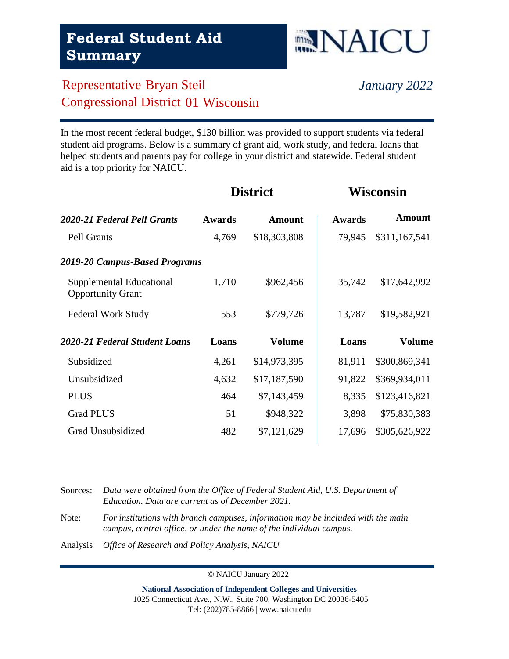## Representative Bryan Steil *January 2022* Congressional District 01 Wisconsin

In the most recent federal budget, \$130 billion was provided to support students via federal student aid programs. Below is a summary of grant aid, work study, and federal loans that helped students and parents pay for college in your district and statewide. Federal student aid is a top priority for NAICU.

| 2020-21 Federal Pell Grants                          | <b>Awards</b> | <b>Amount</b> | <b>Awards</b> | Amount        |
|------------------------------------------------------|---------------|---------------|---------------|---------------|
| <b>Pell Grants</b>                                   | 4,769         | \$18,303,808  | 79,945        | \$311,167,541 |
| 2019-20 Campus-Based Programs                        |               |               |               |               |
| Supplemental Educational<br><b>Opportunity Grant</b> | 1,710         | \$962,456     | 35,742        | \$17,642,992  |
| <b>Federal Work Study</b>                            | 553           | \$779,726     | 13,787        | \$19,582,921  |
| 2020-21 Federal Student Loans                        | Loans         | <b>Volume</b> | Loans         | Volume        |
| Subsidized                                           | 4,261         | \$14,973,395  | 81,911        | \$300,869,341 |
| Unsubsidized                                         | 4,632         | \$17,187,590  | 91,822        | \$369,934,011 |
| <b>PLUS</b>                                          | 464           | \$7,143,459   | 8,335         | \$123,416,821 |
| <b>Grad PLUS</b>                                     | 51            | \$948,322     | 3,898         | \$75,830,383  |
| Grad Unsubsidized                                    | 482           | \$7,121,629   | 17,696        | \$305,626,922 |

| Sources: | Data were obtained from the Office of Federal Student Aid, U.S. Department of<br>Education. Data are current as of December 2021.                       |
|----------|---------------------------------------------------------------------------------------------------------------------------------------------------------|
| Note:    | For institutions with branch campuses, information may be included with the main<br>campus, central office, or under the name of the individual campus. |
| Analysis | <i>Office of Research and Policy Analysis, NAICU</i>                                                                                                    |

© NAICU January 2022

**National Association of Independent Colleges and Universities** 1025 Connecticut Ave., N.W., Suite 700, Washington DC 20036-5405 Tel: (202)785-8866 | www.naicu.edu

#### **District Wisconsin**

**NAICU**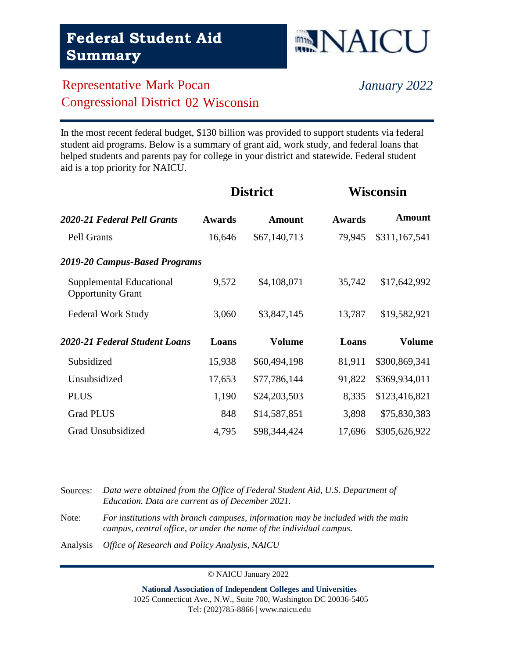## Representative Mark Pocan *January 2022* Congressional District 02 Wisconsin

In the most recent federal budget, \$130 billion was provided to support students via federal student aid programs. Below is a summary of grant aid, work study, and federal loans that helped students and parents pay for college in your district and statewide. Federal student aid is a top priority for NAICU.

| 2020-21 Federal Pell Grants                          | <b>Awards</b> | Amount        | <b>Awards</b> | <b>Amount</b> |
|------------------------------------------------------|---------------|---------------|---------------|---------------|
| <b>Pell Grants</b>                                   | 16,646        | \$67,140,713  | 79,945        | \$311,167,541 |
| 2019-20 Campus-Based Programs                        |               |               |               |               |
| Supplemental Educational<br><b>Opportunity Grant</b> | 9,572         | \$4,108,071   | 35,742        | \$17,642,992  |
| <b>Federal Work Study</b>                            | 3,060         | \$3,847,145   | 13,787        | \$19,582,921  |
|                                                      |               |               |               |               |
| 2020-21 Federal Student Loans                        | Loans         | <b>Volume</b> | Loans         | Volume        |
| Subsidized                                           | 15,938        | \$60,494,198  | 81,911        | \$300,869,341 |
| Unsubsidized                                         | 17,653        | \$77,786,144  | 91,822        | \$369,934,011 |
| <b>PLUS</b>                                          | 1,190         | \$24,203,503  | 8,335         | \$123,416,821 |
| <b>Grad PLUS</b>                                     | 848           | \$14,587,851  | 3,898         | \$75,830,383  |
| Grad Unsubsidized                                    | 4,795         | \$98,344,424  | 17,696        | \$305,626,922 |

Sources: *Data were obtained from the Office of Federal Student Aid, U.S. Department of Education. Data are current as of December 2021.* Note: *For institutions with branch campuses, information may be included with the main campus, central office, or under the name of the individual campus.*

Analysis *Office of Research and Policy Analysis, NAICU*

© NAICU January 2022

**National Association of Independent Colleges and Universities** 1025 Connecticut Ave., N.W., Suite 700, Washington DC 20036-5405 Tel: (202)785-8866 | www.naicu.edu

#### **District Wisconsin**

**NAICU**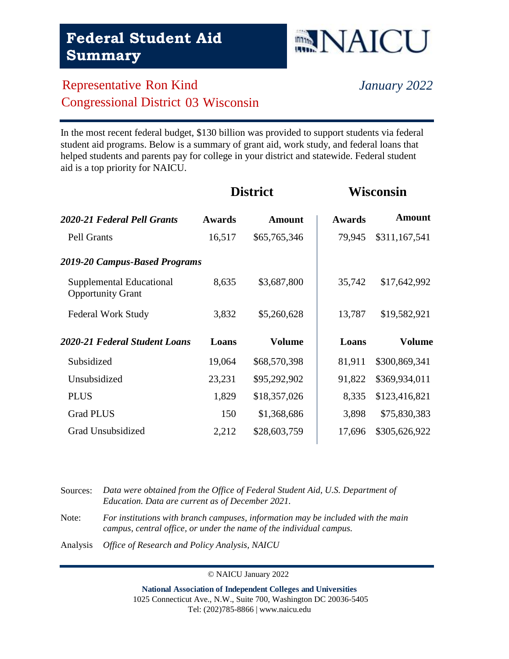

**District Wisconsin**

## Representative Ron Kind *January 2022* Congressional District 03 Wisconsin

In the most recent federal budget, \$130 billion was provided to support students via federal student aid programs. Below is a summary of grant aid, work study, and federal loans that helped students and parents pay for college in your district and statewide. Federal student aid is a top priority for NAICU.

| <b>Awards</b>                 | Amount        | <b>Awards</b> | <b>Amount</b> |
|-------------------------------|---------------|---------------|---------------|
| 16,517                        | \$65,765,346  | 79,945        | \$311,167,541 |
| 2019-20 Campus-Based Programs |               |               |               |
| 8,635                         | \$3,687,800   | 35,742        | \$17,642,992  |
| 3,832                         | \$5,260,628   | 13,787        | \$19,582,921  |
| Loans                         | <b>Volume</b> | Loans         | Volume        |
| 19,064                        | \$68,570,398  | 81,911        | \$300,869,341 |
| 23,231                        | \$95,292,902  | 91,822        | \$369,934,011 |
| 1,829                         | \$18,357,026  | 8,335         | \$123,416,821 |
| 150                           | \$1,368,686   | 3,898         | \$75,830,383  |
| 2,212                         | \$28,603,759  | 17,696        | \$305,626,922 |
|                               |               |               |               |

Sources: *Data were obtained from the Office of Federal Student Aid, U.S. Department of Education. Data are current as of December 2021.* Note: *For institutions with branch campuses, information may be included with the main campus, central office, or under the name of the individual campus.* Analysis *Office of Research and Policy Analysis, NAICU*

© NAICU January 2022

**National Association of Independent Colleges and Universities** 1025 Connecticut Ave., N.W., Suite 700, Washington DC 20036-5405 Tel: (202)785-8866 | www.naicu.edu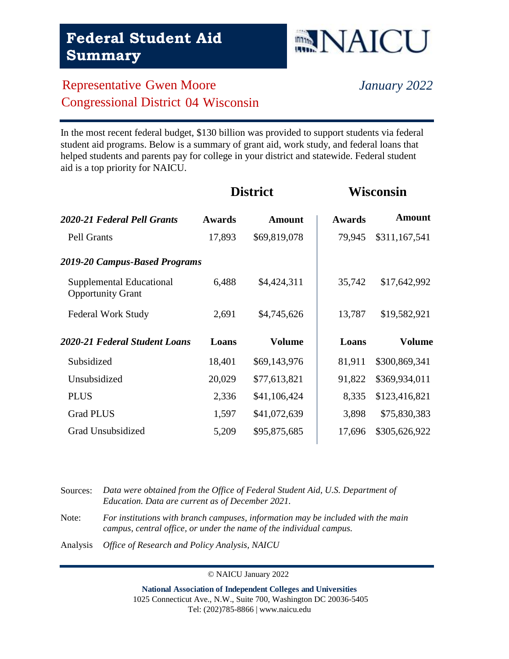# **NAICU**

**District Wisconsin**

# Representative Gwen Moore *January 2022* Congressional District 04 Wisconsin

In the most recent federal budget, \$130 billion was provided to support students via federal student aid programs. Below is a summary of grant aid, work study, and federal loans that helped students and parents pay for college in your district and statewide. Federal student aid is a top priority for NAICU.

| 2020-21 Federal Pell Grants                          | <b>Awards</b> | Amount        | <b>Awards</b> | <b>Amount</b> |
|------------------------------------------------------|---------------|---------------|---------------|---------------|
| Pell Grants                                          | 17,893        | \$69,819,078  | 79,945        | \$311,167,541 |
| 2019-20 Campus-Based Programs                        |               |               |               |               |
| Supplemental Educational<br><b>Opportunity Grant</b> | 6,488         | \$4,424,311   | 35,742        | \$17,642,992  |
| <b>Federal Work Study</b>                            | 2,691         | \$4,745,626   | 13,787        | \$19,582,921  |
| 2020-21 Federal Student Loans                        | Loans         | <b>Volume</b> | Loans         | Volume        |
| Subsidized                                           | 18,401        | \$69,143,976  | 81,911        | \$300,869,341 |
| Unsubsidized                                         | 20,029        | \$77,613,821  | 91,822        | \$369,934,011 |
| <b>PLUS</b>                                          | 2,336         | \$41,106,424  | 8,335         | \$123,416,821 |
| <b>Grad PLUS</b>                                     | 1,597         | \$41,072,639  | 3,898         | \$75,830,383  |
| Grad Unsubsidized                                    | 5,209         | \$95,875,685  | 17,696        | \$305,626,922 |

Sources: *Data were obtained from the Office of Federal Student Aid, U.S. Department of Education. Data are current as of December 2021.* Note: *For institutions with branch campuses, information may be included with the main campus, central office, or under the name of the individual campus.* Analysis *Office of Research and Policy Analysis, NAICU*

© NAICU January 2022

**National Association of Independent Colleges and Universities** 1025 Connecticut Ave., N.W., Suite 700, Washington DC 20036-5405 Tel: (202)785-8866 | www.naicu.edu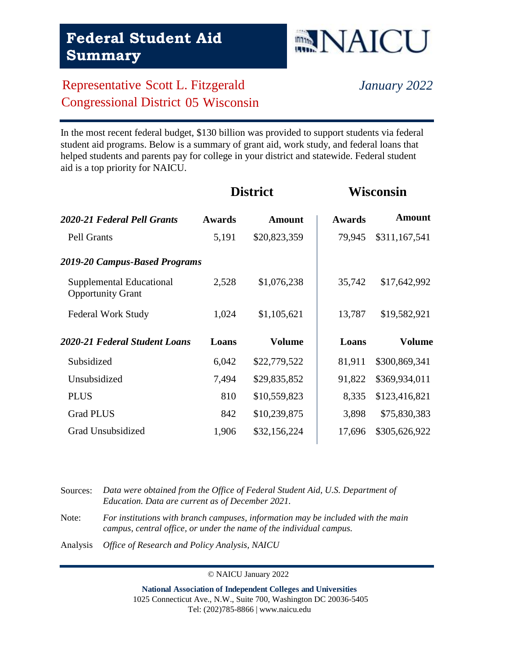## Representative Scott L. Fitzgerald *January 2022* Congressional District 05 Wisconsin

In the most recent federal budget, \$130 billion was provided to support students via federal student aid programs. Below is a summary of grant aid, work study, and federal loans that helped students and parents pay for college in your district and statewide. Federal student aid is a top priority for NAICU.

| 2020-21 Federal Pell Grants                          | <b>Awards</b> | <b>Amount</b> | <b>Awards</b> | <b>Amount</b> |
|------------------------------------------------------|---------------|---------------|---------------|---------------|
| Pell Grants                                          | 5,191         | \$20,823,359  | 79,945        | \$311,167,541 |
| 2019-20 Campus-Based Programs                        |               |               |               |               |
| Supplemental Educational<br><b>Opportunity Grant</b> | 2,528         | \$1,076,238   | 35,742        | \$17,642,992  |
| <b>Federal Work Study</b>                            | 1,024         | \$1,105,621   | 13,787        | \$19,582,921  |
|                                                      |               |               |               |               |
| 2020-21 Federal Student Loans                        | Loans         | <b>Volume</b> | Loans         | Volume        |
| Subsidized                                           | 6,042         | \$22,779,522  | 81,911        | \$300,869,341 |
| Unsubsidized                                         | 7,494         | \$29,835,852  | 91,822        | \$369,934,011 |
| <b>PLUS</b>                                          | 810           | \$10,559,823  | 8,335         | \$123,416,821 |
| <b>Grad PLUS</b>                                     | 842           | \$10,239,875  | 3,898         | \$75,830,383  |
| Grad Unsubsidized                                    | 1,906         | \$32,156,224  | 17,696        | \$305,626,922 |

| Sources: | Data were obtained from the Office of Federal Student Aid, U.S. Department of<br>Education. Data are current as of December 2021.                       |
|----------|---------------------------------------------------------------------------------------------------------------------------------------------------------|
| Note:    | For institutions with branch campuses, information may be included with the main<br>campus, central office, or under the name of the individual campus. |
| Analysis | <i>Office of Research and Policy Analysis, NAICU</i>                                                                                                    |

© NAICU January 2022

**National Association of Independent Colleges and Universities** 1025 Connecticut Ave., N.W., Suite 700, Washington DC 20036-5405 Tel: (202)785-8866 | www.naicu.edu

#### **District Wisconsin**

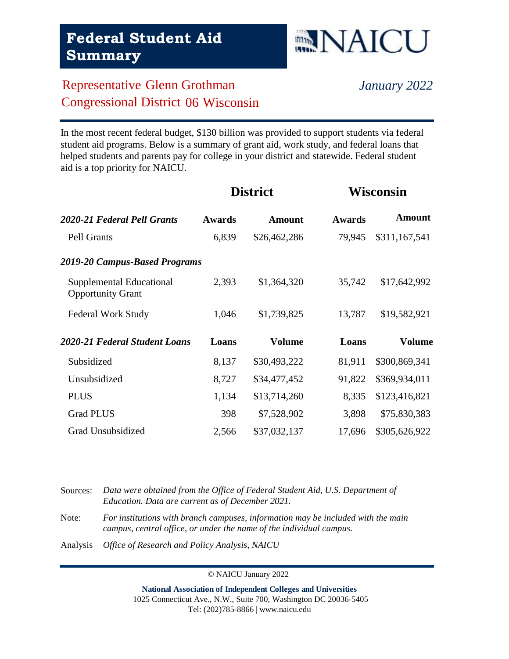#### Representative Glenn Grothman *January 2022* Congressional District 06 Wisconsin

In the most recent federal budget, \$130 billion was provided to support students via federal student aid programs. Below is a summary of grant aid, work study, and federal loans that helped students and parents pay for college in your district and statewide. Federal student aid is a top priority for NAICU.

| 2020-21 Federal Pell Grants                          | <b>Awards</b> | <b>Amount</b> | <b>Awards</b> | <b>Amount</b> |
|------------------------------------------------------|---------------|---------------|---------------|---------------|
| Pell Grants                                          | 6,839         | \$26,462,286  | 79,945        | \$311,167,541 |
| 2019-20 Campus-Based Programs                        |               |               |               |               |
| Supplemental Educational<br><b>Opportunity Grant</b> | 2,393         | \$1,364,320   | 35,742        | \$17,642,992  |
| <b>Federal Work Study</b>                            | 1,046         | \$1,739,825   | 13,787        | \$19,582,921  |
|                                                      |               |               |               |               |
| 2020-21 Federal Student Loans                        | Loans         | <b>Volume</b> | Loans         | Volume        |
| Subsidized                                           | 8,137         | \$30,493,222  | 81,911        | \$300,869,341 |
| Unsubsidized                                         | 8,727         | \$34,477,452  | 91,822        | \$369,934,011 |
| <b>PLUS</b>                                          | 1,134         | \$13,714,260  | 8,335         | \$123,416,821 |
| <b>Grad PLUS</b>                                     | 398           | \$7,528,902   | 3,898         | \$75,830,383  |
| Grad Unsubsidized                                    | 2,566         | \$37,032,137  | 17,696        | \$305,626,922 |

Sources: *Data were obtained from the Office of Federal Student Aid, U.S. Department of Education. Data are current as of December 2021.* Note: *For institutions with branch campuses, information may be included with the main campus, central office, or under the name of the individual campus.*

Analysis *Office of Research and Policy Analysis, NAICU*

© NAICU January 2022

**National Association of Independent Colleges and Universities** 1025 Connecticut Ave., N.W., Suite 700, Washington DC 20036-5405 Tel: (202)785-8866 | www.naicu.edu

**District Wisconsin**

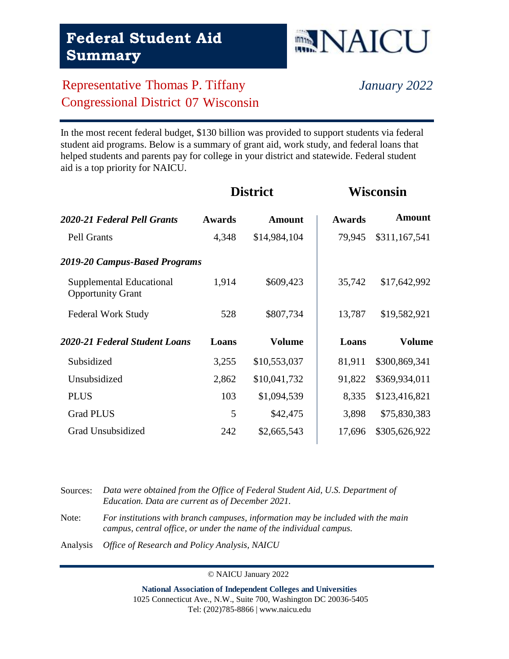## Representative Thomas P. Tiffany *January 2022* Congressional District 07 Wisconsin

In the most recent federal budget, \$130 billion was provided to support students via federal student aid programs. Below is a summary of grant aid, work study, and federal loans that helped students and parents pay for college in your district and statewide. Federal student aid is a top priority for NAICU.

| 2020-21 Federal Pell Grants                          | <b>Awards</b> | Amount        | <b>Awards</b> | <b>Amount</b> |
|------------------------------------------------------|---------------|---------------|---------------|---------------|
| <b>Pell Grants</b>                                   | 4,348         | \$14,984,104  | 79,945        | \$311,167,541 |
| 2019-20 Campus-Based Programs                        |               |               |               |               |
| Supplemental Educational<br><b>Opportunity Grant</b> | 1,914         | \$609,423     | 35,742        | \$17,642,992  |
| <b>Federal Work Study</b>                            | 528           | \$807,734     | 13,787        | \$19,582,921  |
|                                                      |               |               |               |               |
| 2020-21 Federal Student Loans                        | Loans         | <b>Volume</b> | Loans         | Volume        |
| Subsidized                                           | 3,255         | \$10,553,037  | 81,911        | \$300,869,341 |
| Unsubsidized                                         | 2,862         | \$10,041,732  | 91,822        | \$369,934,011 |
| <b>PLUS</b>                                          | 103           | \$1,094,539   | 8,335         | \$123,416,821 |
| <b>Grad PLUS</b>                                     | 5             | \$42,475      | 3,898         | \$75,830,383  |
| Grad Unsubsidized                                    | 242           | \$2,665,543   | 17,696        | \$305,626,922 |

Sources: *Data were obtained from the Office of Federal Student Aid, U.S. Department of Education. Data are current as of December 2021.* Note: *For institutions with branch campuses, information may be included with the main campus, central office, or under the name of the individual campus.*

Analysis *Office of Research and Policy Analysis, NAICU*

© NAICU January 2022

**National Association of Independent Colleges and Universities** 1025 Connecticut Ave., N.W., Suite 700, Washington DC 20036-5405 Tel: (202)785-8866 | www.naicu.edu

#### **District Wisconsin**

**NAICU**